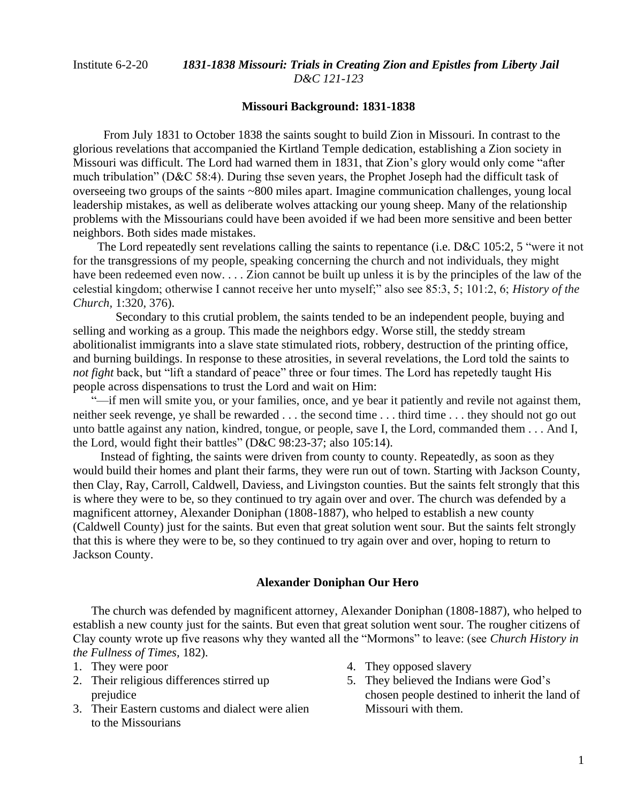## Institute 6-2-20 *1831-1838 Missouri: Trials in Creating Zion and Epistles from Liberty Jail D&C 121-123*

### **Missouri Background: 1831-1838**

 From July 1831 to October 1838 the saints sought to build Zion in Missouri. In contrast to the glorious revelations that accompanied the Kirtland Temple dedication, establishing a Zion society in Missouri was difficult. The Lord had warned them in 1831, that Zion's glory would only come "after much tribulation" (D&C 58:4). During thse seven years, the Prophet Joseph had the difficult task of overseeing two groups of the saints ~800 miles apart. Imagine communication challenges, young local leadership mistakes, as well as deliberate wolves attacking our young sheep. Many of the relationship problems with the Missourians could have been avoided if we had been more sensitive and been better neighbors. Both sides made mistakes.

The Lord repeatedly sent revelations calling the saints to repentance (i.e. D&C 105:2, 5 "were it not for the transgressions of my people, speaking concerning the church and not individuals, they might have been redeemed even now.... Zion cannot be built up unless it is by the principles of the law of the celestial kingdom; otherwise I cannot receive her unto myself;" also see 85:3, 5; 101:2, 6; *History of the Church,* 1:320, 376).

 Secondary to this crutial problem, the saints tended to be an independent people, buying and selling and working as a group. This made the neighbors edgy. Worse still, the steddy stream abolitionalist immigrants into a slave state stimulated riots, robbery, destruction of the printing office, and burning buildings. In response to these atrosities, in several revelations, the Lord told the saints to *not fight* back, but "lift a standard of peace" three or four times. The Lord has repetedly taught His people across dispensations to trust the Lord and wait on Him:

"—if men will smite you, or your families, once, and ye bear it patiently and revile not against them, neither seek revenge, ye shall be rewarded . . . the second time . . . third time . . . they should not go out unto battle against any nation, kindred, tongue, or people, save I, the Lord, commanded them . . . And I, the Lord, would fight their battles" (D&C 98:23-37; also 105:14).

 Instead of fighting, the saints were driven from county to county. Repeatedly, as soon as they would build their homes and plant their farms, they were run out of town. Starting with Jackson County, then Clay, Ray, Carroll, Caldwell, Daviess, and Livingston counties. But the saints felt strongly that this is where they were to be, so they continued to try again over and over. The church was defended by a magnificent attorney, Alexander Doniphan (1808-1887), who helped to establish a new county (Caldwell County) just for the saints. But even that great solution went sour. But the saints felt strongly that this is where they were to be, so they continued to try again over and over, hoping to return to Jackson County.

### **Alexander Doniphan Our Hero**

The church was defended by magnificent attorney, Alexander Doniphan (1808-1887), who helped to establish a new county just for the saints. But even that great solution went sour. The rougher citizens of Clay county wrote up five reasons why they wanted all the "Mormons" to leave: (see *Church History in the Fullness of Times,* 182).

- 1. They were poor
- 2. Their religious differences stirred up prejudice
- 3. Their Eastern customs and dialect were alien to the Missourians
- 4. They opposed slavery
- 5. They believed the Indians were God's chosen people destined to inherit the land of Missouri with them.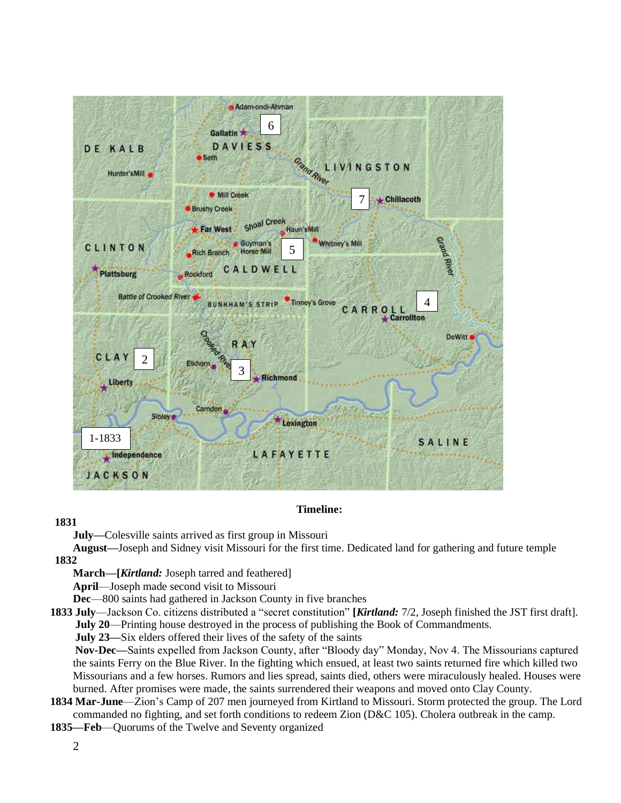

# **Timeline:**

## **1831**

**July—**Colesville saints arrived as first group in Missouri

**August—**Joseph and Sidney visit Missouri for the first time. Dedicated land for gathering and future temple **1832**

**March—[***Kirtland:* Joseph tarred and feathered]

**April**—Joseph made second visit to Missouri

**Dec**—800 saints had gathered in Jackson County in five branches

**1833 July**—Jackson Co. citizens distributed a "secret constitution" **[***Kirtland:* 7/2, Joseph finished the JST first draft]. **July 20**—Printing house destroyed in the process of publishing the Book of Commandments.

**July 23—**Six elders offered their lives of the safety of the saints

 **Nov-Dec—**Saints expelled from Jackson County, after "Bloody day" Monday, Nov 4. The Missourians captured the saints Ferry on the Blue River. In the fighting which ensued, at least two saints returned fire which killed two Missourians and a few horses. Rumors and lies spread, saints died, others were miraculously healed. Houses were burned. After promises were made, the saints surrendered their weapons and moved onto Clay County.

- **1834 Mar-June**—Zion's Camp of 207 men journeyed from Kirtland to Missouri. Storm protected the group. The Lord commanded no fighting, and set forth conditions to redeem Zion (D&C 105). Cholera outbreak in the camp.
- **1835—Feb**—Quorums of the Twelve and Seventy organized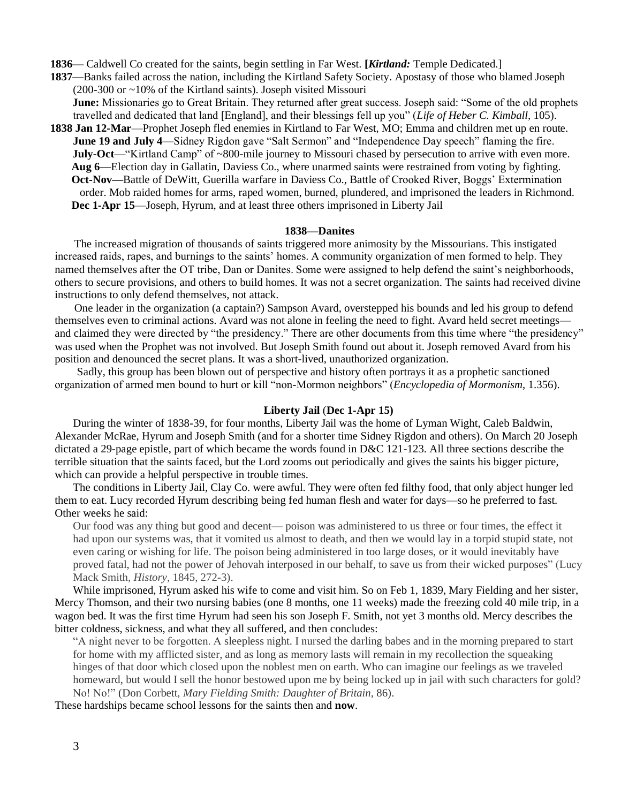**1836—** Caldwell Co created for the saints, begin settling in Far West. **[***Kirtland:* Temple Dedicated.]

- **1837—**Banks failed across the nation, including the Kirtland Safety Society. Apostasy of those who blamed Joseph (200-300 or ~10% of the Kirtland saints). Joseph visited Missouri **June:** Missionaries go to Great Britain. They returned after great success. Joseph said: "Some of the old prophets travelled and dedicated that land [England], and their blessings fell up you" (*Life of Heber C. Kimball,* 105).
- **1838 Jan 12-Mar**—Prophet Joseph fled enemies in Kirtland to Far West, MO; Emma and children met up en route. **June 19 and July 4**—Sidney Rigdon gave "Salt Sermon" and "Independence Day speech" flaming the fire. **July-Oct**—"Kirtland Camp" of ~800-mile journey to Missouri chased by persecution to arrive with even more.  **Aug 6—**Election day in Gallatin, Daviess Co., where unarmed saints were restrained from voting by fighting.  **Oct-Nov—**Battle of DeWitt, Guerilla warfare in Daviess Co., Battle of Crooked River, Boggs' Extermination order. Mob raided homes for arms, raped women, burned, plundered, and imprisoned the leaders in Richmond. **Dec 1-Apr 15**—Joseph, Hyrum, and at least three others imprisoned in Liberty Jail

#### **1838—Danites**

 The increased migration of thousands of saints triggered more animosity by the Missourians. This instigated increased raids, rapes, and burnings to the saints' homes. A community organization of men formed to help. They named themselves after the OT tribe, Dan or Danites. Some were assigned to help defend the saint's neighborhoods, others to secure provisions, and others to build homes. It was not a secret organization. The saints had received divine instructions to only defend themselves, not attack.

 One leader in the organization (a captain?) Sampson Avard, overstepped his bounds and led his group to defend themselves even to criminal actions. Avard was not alone in feeling the need to fight. Avard held secret meetings and claimed they were directed by "the presidency." There are other documents from this time where "the presidency" was used when the Prophet was not involved. But Joseph Smith found out about it. Joseph removed Avard from his position and denounced the secret plans. It was a short-lived, unauthorized organization.

 Sadly, this group has been blown out of perspective and history often portrays it as a prophetic sanctioned organization of armed men bound to hurt or kill "non-Mormon neighbors" (*Encyclopedia of Mormonism*, 1.356).

#### **Liberty Jail** (**Dec 1-Apr 15)**

During the winter of 1838-39, for four months, Liberty Jail was the home of Lyman Wight, Caleb Baldwin, Alexander McRae, Hyrum and Joseph Smith (and for a shorter time Sidney Rigdon and others). On March 20 Joseph dictated a 29-page epistle, part of which became the words found in D&C 121-123. All three sections describe the terrible situation that the saints faced, but the Lord zooms out periodically and gives the saints his bigger picture, which can provide a helpful perspective in trouble times.

The conditions in Liberty Jail, Clay Co. were awful. They were often fed filthy food, that only abject hunger led them to eat. Lucy recorded Hyrum describing being fed human flesh and water for days—so he preferred to fast. Other weeks he said:

Our food was any thing but good and decent— poison was administered to us three or four times, the effect it had upon our systems was, that it vomited us almost to death, and then we would lay in a torpid stupid state, not even caring or wishing for life. The poison being administered in too large doses, or it would inevitably have proved fatal, had not the power of Jehovah interposed in our behalf, to save us from their wicked purposes" (Lucy Mack Smith, *History,* 1845, 272-3).

While imprisoned, Hyrum asked his wife to come and visit him. So on Feb 1, 1839, Mary Fielding and her sister, Mercy Thomson, and their two nursing babies (one 8 months, one 11 weeks) made the freezing cold 40 mile trip, in a wagon bed. It was the first time Hyrum had seen his son Joseph F. Smith, not yet 3 months old. Mercy describes the bitter coldness, sickness, and what they all suffered, and then concludes:

"A night never to be forgotten. A sleepless night. I nursed the darling babes and in the morning prepared to start for home with my afflicted sister, and as long as memory lasts will remain in my recollection the squeaking hinges of that door which closed upon the noblest men on earth. Who can imagine our feelings as we traveled homeward, but would I sell the honor bestowed upon me by being locked up in jail with such characters for gold? No! No!" (Don Corbett, *Mary Fielding Smith: Daughter of Britain*, 86).

These hardships became school lessons for the saints then and **now**.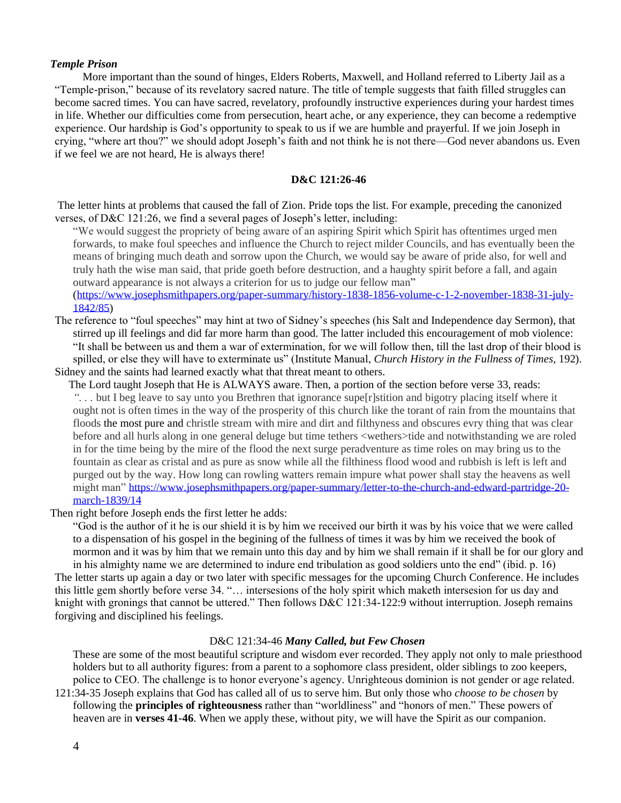### *Temple Prison*

 More important than the sound of hinges, Elders Roberts, Maxwell, and Holland referred to Liberty Jail as a "Temple-prison," because of its revelatory sacred nature. The title of temple suggests that faith filled struggles can become sacred times. You can have sacred, revelatory, profoundly instructive experiences during your hardest times in life. Whether our difficulties come from persecution, heart ache, or any experience, they can become a redemptive experience. Our hardship is God's opportunity to speak to us if we are humble and prayerful. If we join Joseph in crying, "where art thou?" we should adopt Joseph's faith and not think he is not there—God never abandons us. Even if we feel we are not heard, He is always there!

### **D&C 121:26-46**

The letter hints at problems that caused the fall of Zion. Pride tops the list. For example, preceding the canonized verses, of D&C 121:26, we find a several pages of Joseph's letter, including:

"We would suggest the propriety of being aware of an aspiring Spirit which Spirit has oftentimes urged men forwards, to make foul speeches and influence the Church to reject milder Councils, and has eventually been the means of bringing much death and sorrow upon the Church, we would say be aware of pride also, for well and truly hath the wise man said, that pride goeth before destruction, and a haughty spirit before a fall, and again outward appearance is not always a criterion for us to judge our fellow man"

[\(https://www.josephsmithpapers.org/paper-summary/history-1838-1856-volume-c-1-2-november-1838-31-july-](https://www.josephsmithpapers.org/paper-summary/history-1838-1856-volume-c-1-2-november-1838-31-july-1842/85)[1842/85\)](https://www.josephsmithpapers.org/paper-summary/history-1838-1856-volume-c-1-2-november-1838-31-july-1842/85)

- The reference to "foul speeches" may hint at two of Sidney's speeches (his Salt and Independence day Sermon), that stirred up ill feelings and did far more harm than good. The latter included this encouragement of mob violence: "It shall be between us and them a war of extermination, for we will follow then, till the last drop of their blood is spilled, or else they will have to exterminate us" (Institute Manual, *Church History in the Fullness of Times,* 192). Sidney and the saints had learned exactly what that threat meant to others.
- The Lord taught Joseph that He is ALWAYS aware. Then, a portion of the section before verse 33, reads:

*". . .* but I beg leave to say unto you Brethren that ignorance supe[r]stition and bigotry placing itself where it ought not is often times in the way of the prosperity of this church like the torant of rain from the mountains that floods the most pure and christle stream with mire and dirt and filthyness and obscures evry thing that was clear before and all hurls along in one general deluge but time tethers <wethers>tide and notwithstanding we are roled in for the time being by the mire of the flood the next surge peradventure as time roles on may bring us to the fountain as clear as cristal and as pure as snow while all the filthiness flood wood and rubbish is left is left and purged out by the way. How long can rowling watters remain impure what power shall stay the heavens as well might man" [https://www.josephsmithpapers.org/paper-summary/letter-to-the-church-and-edward-partridge-20](https://www.josephsmithpapers.org/paper-summary/letter-to-the-church-and-edward-partridge-20-march-1839/14) [march-1839/14](https://www.josephsmithpapers.org/paper-summary/letter-to-the-church-and-edward-partridge-20-march-1839/14)

Then right before Joseph ends the first letter he adds:

"God is the author of it he is our shield it is by him we received our birth it was by his voice that we were called to a dispensation of his gospel in the begining of the fullness of times it was by him we received the book of mormon and it was by him that we remain unto this day and by him we shall remain if it shall be for our glory and in his almighty name we are determined to indure end tribulation as good soldiers unto the end" (ibid. p. 16) The letter starts up again a day or two later with specific messages for the upcoming Church Conference. He includes this little gem shortly before verse 34. "… intersesions of the holy spirit which maketh intersesion for us day and knight with gronings that cannot be uttered." Then follows D&C 121:34-122:9 without interruption. Joseph remains forgiving and disciplined his feelings.

### D&C 121:34-46 *Many Called, but Few Chosen*

These are some of the most beautiful scripture and wisdom ever recorded. They apply not only to male priesthood holders but to all authority figures: from a parent to a sophomore class president, older siblings to zoo keepers, police to CEO. The challenge is to honor everyone's agency. Unrighteous dominion is not gender or age related. 121:34-35 Joseph explains that God has called all of us to serve him. But only those who *choose to be chosen* by

following the **principles of righteousness** rather than "worldliness" and "honors of men." These powers of heaven are in **verses 41-46**. When we apply these, without pity, we will have the Spirit as our companion.